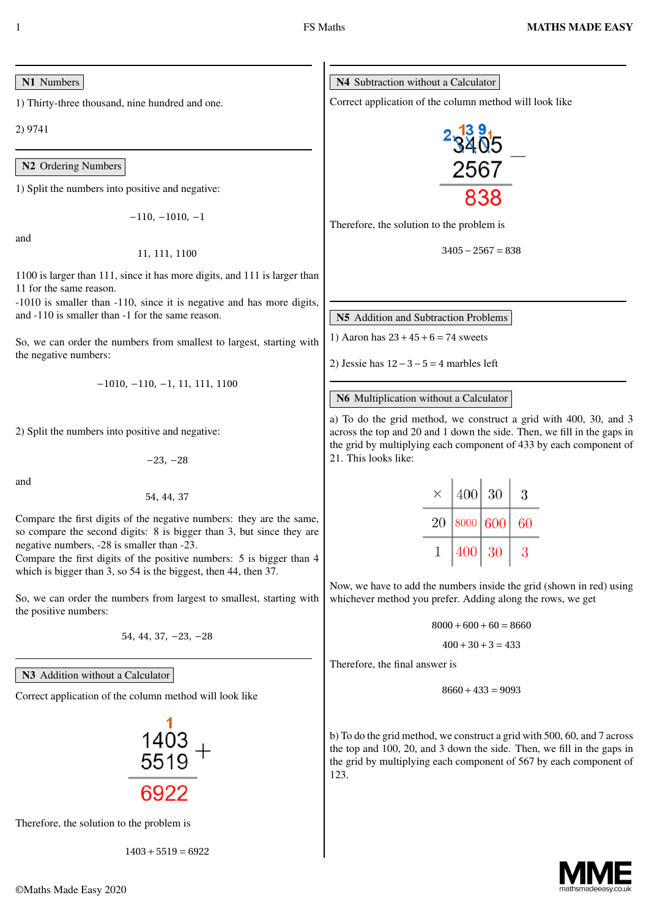#### N1 Numbers

1) Thirty-three thousand, nine hundred and one.

2) 9741

N2 Ordering Numbers

1) Split the numbers into positive and negative:

*−*110, *−*1010, *−*1

and

11, 111, 1100

1100 is larger than 111, since it has more digits, and 111 is larger than 11 for the same reason.

-1010 is smaller than -110, since it is negative and has more digits, and -110 is smaller than -1 for the same reason.

So, we can order the numbers from smallest to largest, starting with the negative numbers:

*−*1010, *−*110, *−*1, 11, 111, 1100

2) Split the numbers into positive and negative:

*−*23, *−*28

and

54, 44, 37

Compare the first digits of the negative numbers: they are the same, so compare the second digits: 8 is bigger than 3, but since they are negative numbers, -28 is smaller than -23.

Compare the first digits of the positive numbers: 5 is bigger than 4 which is bigger than 3, so 54 is the biggest, then 44, then 37.

So, we can order the numbers from largest to smallest, starting with the positive numbers:

54, 44, 37, *−*23, *−*28

N<sub>3</sub> Addition without a Calculator

Correct application of the column method will look like

Therefore, the solution to the problem is

1403*+*5519 *=* 6922



Correct application of the column method will look like



Therefore, the solution to the problem is

$$
3405 - 2567 = 838
$$

N5 Addition and Subtraction Problems

1) Aaron has 23*+*45*+*6 *=* 74 sweets

2) Jessie has 12*−*3*−*5 *=* 4 marbles left

#### N6 Multiplication without a Calculator

a) To do the grid method, we construct a grid with 400, 30, and 3 across the top and 20 and 1 down the side. Then, we fill in the gaps in the grid by multiplying each component of 433 by each component of 21. This looks like:

| X  | 400      | 30 | 3  |  |
|----|----------|----|----|--|
| 20 | 8000 600 |    | 60 |  |
|    | 400      | 30 | 3  |  |

Now, we have to add the numbers inside the grid (shown in red) using whichever method you prefer. Adding along the rows, we get

$$
8000 + 600 + 60 = 8660
$$

$$
400 + 30 + 3 = 433
$$

Therefore, the final answer is

$$
8660 + 433 = 9093
$$

b) To do the grid method, we construct a grid with 500, 60, and 7 across the top and 100, 20, and 3 down the side. Then, we fill in the gaps in the grid by multiplying each component of 567 by each component of 123.

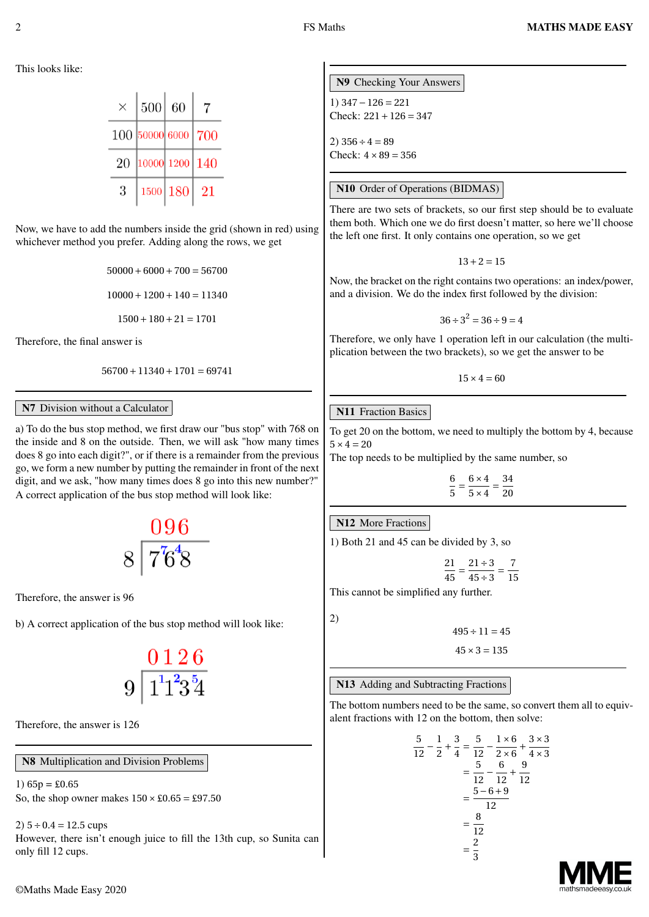This looks like:

| X  | 500            | 60       |     |
|----|----------------|----------|-----|
|    | 100 50000 6000 |          | 700 |
| 20 | 10000 1200 140 |          |     |
| 3  |                | 1500 180 | 21  |

Now, we have to add the numbers inside the grid (shown in red) using whichever method you prefer. Adding along the rows, we get

> $50000+6000+700=56700$  $10000+1200+140=11340$

1500*+*180*+*21 *=* 1701

Therefore, the final answer is

56700*+*11340*+*1701 *=* 69741

#### N7 Division without a Calculator

a) To do the bus stop method, we first draw our "bus stop" with 768 on the inside and 8 on the outside. Then, we will ask "how many times does 8 go into each digit?", or if there is a remainder from the previous go, we form a new number by putting the remainder in front of the next digit, and we ask, "how many times does 8 go into this new number?" A correct application of the bus stop method will look like:

$$
\begin{array}{c}\n 096 \\
 8 \overline{)76^4} \\
 \hline\n 3\n \end{array}
$$

Therefore, the answer is 96

b) A correct application of the bus stop method will look like:

$$
9\frac{0\,1\,2\,6}{1^1 1^2 3\,5 4}
$$

Therefore, the answer is 126

N8 Multiplication and Division Problems

1)  $65p = £0.65$ So, the shop owner makes  $150 \times £0.65 = £97.50$ 

2) 5*÷*0.4 *=* 12.5 cups

However, there isn't enough juice to fill the 13th cup, so Sunita can only fill 12 cups.

N9 Checking Your Answers 1) 347*−*126 *=* 221 Check: 221*+*126 *=* 347  $(2)$  356  $\pm$  4 – 89 Check:  $4 \times 89 = 356$ 

#### N10 Order of Operations (BIDMAS)

There are two sets of brackets, so our first step should be to evaluate them both. Which one we do first doesn't matter, so here we'll choose the left one first. It only contains one operation, so we get

13*+*2 *=* 15

Now, the bracket on the right contains two operations: an index/power, and a division. We do the index first followed by the division:

$$
36 \div 3^2 = 36 \div 9 = 4
$$

Therefore, we only have 1 operation left in our calculation (the multiplication between the two brackets), so we get the answer to be

 $15 \times 4 = 60$ 

#### **N11** Fraction Basics

To get 20 on the bottom, we need to multiply the bottom by 4, because  $5 \times 4 = 20$ 

The top needs to be multiplied by the same number, so

6  $\frac{6}{5} = \frac{6 \times 4}{5 \times 4}$  $\frac{1}{5\times4}$ 34 20

#### N12 More Fractions

1) Both 21 and 45 can be divided by 3, so

$$
\frac{21}{45} = \frac{21 \div 3}{45 \div 3} = \frac{7}{15}
$$

This cannot be simplified any further.

2)

 $495 \div 11 = 45$ 

 $45 \times 3 = 135$ 

N13 Adding and Subtracting Fractions

The bottom numbers need to be the same, so convert them all to equivalent fractions with 12 on the bottom, then solve:

$$
\frac{5}{12} - \frac{1}{2} + \frac{3}{4} = \frac{5}{12} - \frac{1 \times 6}{2 \times 6} + \frac{3 \times 3}{4 \times 3}
$$

$$
= \frac{5}{12} - \frac{6}{12} + \frac{9}{12}
$$

$$
= \frac{5 - 6 + 9}{12}
$$

$$
= \frac{8}{12}
$$

$$
= \frac{2}{3}
$$

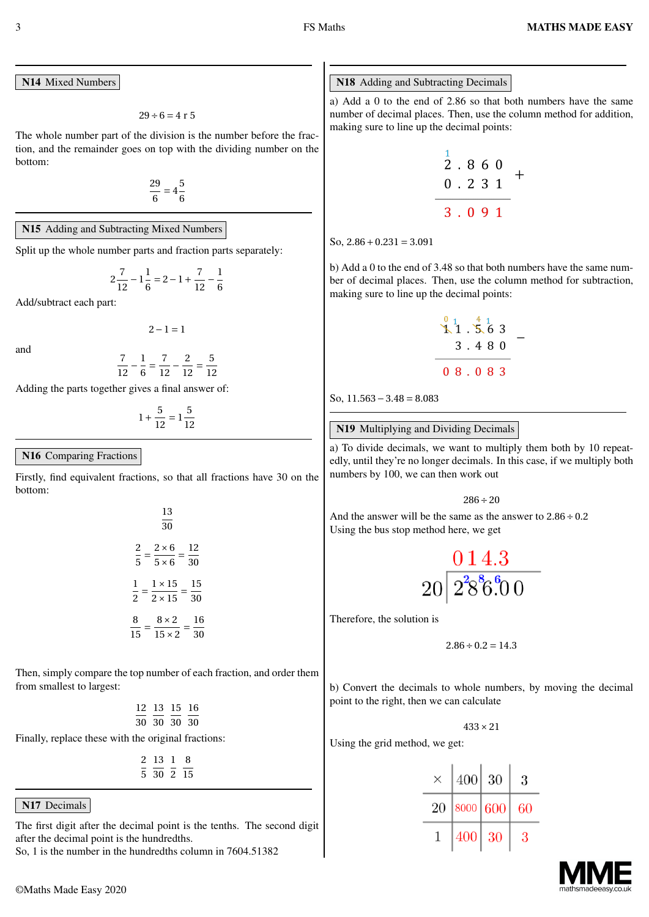N14 Mixed Numbers

 $29 \div 6 = 4$  r 5

The whole number part of the division is the number before the fraction, and the remainder goes on top with the dividing number on the bottom:

> 29  $\frac{29}{6}$  = 4 $\frac{5}{6}$ 6

#### N15 Adding and Subtracting Mixed Numbers

Split up the whole number parts and fraction parts separately:

$$
2\frac{7}{12} - 1\frac{1}{6} = 2 - 1 + \frac{7}{12} - \frac{1}{6}
$$

Add/subtract each part:

and

$$
\frac{7}{12} - \frac{1}{6} = \frac{7}{12} - \frac{2}{12} = \frac{5}{12}
$$

2*−*1 *=* 1

Adding the parts together gives a final answer of:

 $1+\frac{5}{11}$  $\frac{5}{12} = 1\frac{5}{12}$ 12

#### N16 Comparing Fractions

Firstly, find equivalent fractions, so that all fractions have 30 on the bottom:

13

| 30                                                                        |          |
|---------------------------------------------------------------------------|----------|
| $\overline{\mathbf{c}}$<br>$2 \times 6$<br>$\overline{5}$<br>$5 \times 6$ | 12<br>30 |
| $1 \times 15$<br>1<br>$\overline{2}$<br>$2 \times 15$                     | 15<br>30 |
| 8<br>$8 \times 2$<br>$15 \times 2$<br>15                                  | 16<br>٩O |

Then, simply compare the top number of each fraction, and order them from smallest to largest:

> 12 13 15 16 30 30 30 30

Finally, replace these with the original fractions:

2 13 1 8 5 30 2 15

#### N<sub>17</sub> Decimals

The first digit after the decimal point is the tenths. The second digit after the decimal point is the hundredths.

So, 1 is the number in the hundredths column in 7604.51382

#### N18 Adding and Subtracting Decimals

a) Add a 0 to the end of 2.86 so that both numbers have the same number of decimal places. Then, use the column method for addition, making sure to line up the decimal points:

$$
\begin{array}{c|cccc}\n1 & 8 & 6 & 0 \\
0 & 2 & 3 & 1 \\
\hline\n3 & 0 & 9 & 1\n\end{array}
$$

 $\text{So}, 2.86 + 0.231 = 3.091$ 

b) Add a 0 to the end of 3.48 so that both numbers have the same number of decimal places. Then, use the column method for subtraction, making sure to line up the decimal points:

$$
\begin{array}{@{}c@{\hspace{1em}}c@{\hspace{1em}}c@{\hspace{1em}}c@{\hspace{1em}}}\n & 0 & 1 & 0 & 0 \\
 \hline\n & 1 & 0 & 0 & 0 & 0 \\
 & 3 & 0 & 4 & 8 & 0 \\
 \hline\n & 0 & 0 & 0 & 0 & 3\n \end{array}\n \quad -
$$

So, 11.563*−*3.48 *=* 8.083

#### N19 Multiplying and Dividing Decimals

a) To divide decimals, we want to multiply them both by 10 repeatedly, until they're no longer decimals. In this case, if we multiply both numbers by 100, we can then work out

286*÷*20

And the answer will be the same as the answer to 2.86*÷*0.2 Using the bus stop method here, we get

$$
\frac{0\,1\,4.3}{20\bigl[ 2^2\!8^8\!6^6\!0\,0}
$$

Therefore, the solution is

$$
2.86 \div 0.2 = 14.3
$$

b) Convert the decimals to whole numbers, by moving the decimal point to the right, then we can calculate

433*×*21

Using the grid method, we get:

| ×  | 400      | 30 | 3  |  |
|----|----------|----|----|--|
| 20 | 8000 600 |    | 60 |  |
|    | 400      | 30 | 3  |  |

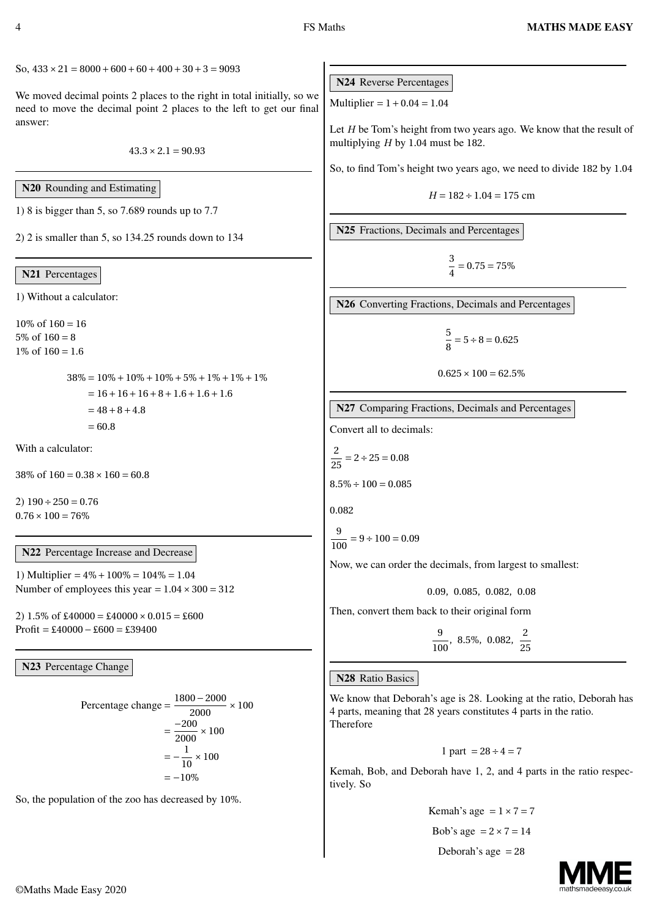$\text{So, } 433 \times 21 = 8000 + 600 + 60 + 400 + 30 + 3 = 9093$ 

We moved decimal points 2 places to the right in total initially, so we need to move the decimal point 2 places to the left to get our final answer:

 $43.3 \times 2.1 = 90.93$ 

N20 Rounding and Estimating

1) 8 is bigger than 5, so 7.689 rounds up to 7.7

2) 2 is smaller than 5, so 134.25 rounds down to 134

#### N21 Percentages

1) Without a calculator:

10% of  $160 = 16$  $5\% \text{ of } 160 = 8$  $1\% \text{ of } 160 = 1.6$ 

> $38\% = 10\% + 10\% + 10\% + 5\% + 1\% + 1\% + 1\%$ *=* 16*+*16*+*16*+*8*+*1.6*+*1.6*+*1.6 *=* 48*+*8*+*4.8 *=* 60.8

With a calculator:

38\% of  $160 = 0.38 \times 160 = 60.8$ 

2) 190*÷*250 *=* 0.76  $0.76 \times 100 = 76\%$ 

N22 Percentage Increase and Decrease

1) Multiplier *=* 4%*+*100% *=* 104% *=* 1.04 Number of employees this year  $= 1.04 \times 300 = 312$ 

2)  $1.5\% \text{ of } \text{\pounds}40000 = \text{\pounds}40000 \times 0.015 = \text{\pounds}600$ Profit *=* £40000*−*£600 *=* £39400

N23 Percentage Change

Percentage change = 
$$
\frac{1800 - 2000}{2000} \times 100
$$

$$
= \frac{-200}{2000} \times 100
$$

$$
= -\frac{1}{10} \times 100
$$

$$
= -10\%
$$

So, the population of the zoo has decreased by 10%.

N24 Reverse Percentages

Multiplier *=* 1*+*0.04 *=* 1.04

Let *H* be Tom's height from two years ago. We know that the result of multiplying *H* by 1.04 must be 182.

So, to find Tom's height two years ago, we need to divide 182 by 1.04

$$
H = 182 \div 1.04 = 175 \text{ cm}
$$

N25 Fractions, Decimals and Percentages

$$
\frac{3}{4} = 0.75 = 75\%
$$

N26 Converting Fractions, Decimals and Percentages

$$
\frac{5}{8} = 5 \div 8 = 0.625
$$

$$
0.625 \times 100 = 62.5\%
$$

N27 Comparing Fractions, Decimals and Percentages

Convert all to decimals:

$$
\frac{2}{25} = 2 \div 25 = 0.08
$$

$$
8.5\% \div 100 = 0.085
$$

0.082

$$
\frac{9}{100} = 9 \div 100 = 0.09
$$

Now, we can order the decimals, from largest to smallest:

0.09, 0.085, 0.082, 0.08

Then, convert them back to their original form

9  $\frac{9}{100}$ , 8.5%, 0.082,  $\frac{2}{25}$ 25

### N28 Ratio Basics

We know that Deborah's age is 28. Looking at the ratio, Deborah has 4 parts, meaning that 28 years constitutes 4 parts in the ratio. Therefore

$$
1
$$
 part  $= 28 \div 4 = 7$ 

Kemah, Bob, and Deborah have 1, 2, and 4 parts in the ratio respectively. So

Kemah's age = 
$$
1 \times 7 = 7
$$
  
Bob's age =  $2 \times 7 = 14$   
Deborah's age = 28

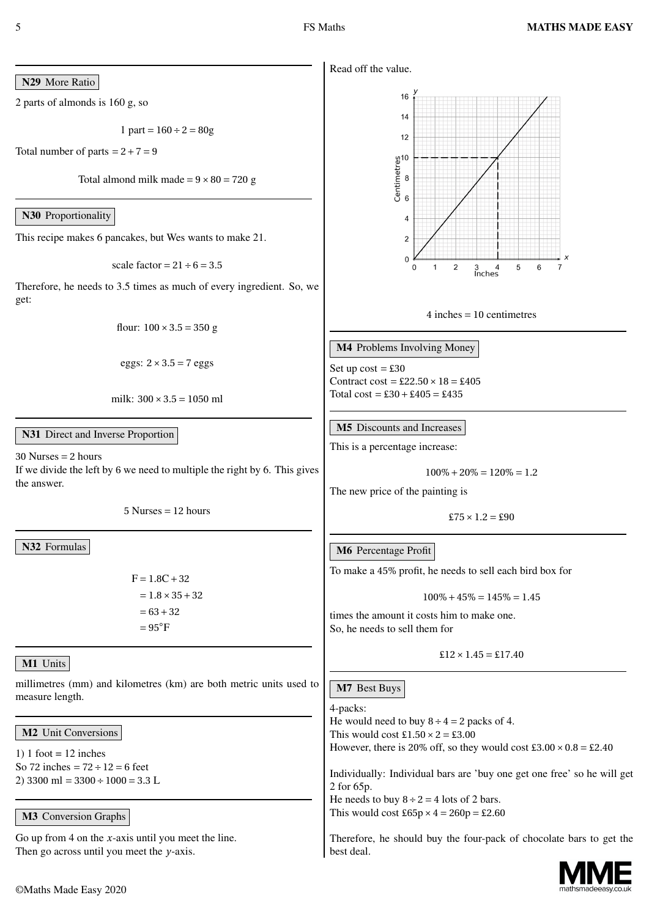Read off the value.

N29 More Ratio

2 parts of almonds is 160 g, so

$$
1\,\,\text{part} = 160 \div 2 = 80\,\text{g}
$$

Total number of parts  $= 2 + 7 = 9$ 

Total almond milk made  $= 9 \times 80 = 720$  g

N30 Proportionality

This recipe makes 6 pancakes, but Wes wants to make 21.

scale factor = 
$$
21 \div 6 = 3.5
$$

Therefore, he needs to 3.5 times as much of every ingredient. So, we get:

$$
flow: 100 \times 3.5 = 350 g
$$

eggs: 
$$
2 \times 3.5 = 7
$$
 eggs

milk: 300*×*3.5 *=* 1050 ml

## N31 Direct and Inverse Proportion

30 Nurses *=* 2 hours If we divide the left by 6 we need to multiple the right by 6. This gives the answer.

5 Nurses *=* 12 hours

N32 Formulas

F *=* 1.8C*+*32 *=* 1.8*×*35*+*32 *=* 63*+*32 *=* 95*◦*F

# M1 Units

millimetres (mm) and kilometres (km) are both metric units used to measure length.

M2 Unit Conversions

1) 1 foot  $= 12$  inches So 72 inches *=* 72*÷*12 *=* 6 feet 2) 3300 ml *=* 3300*÷*1000 *=* 3.3 L

# M3 Conversion Graphs

Go up from 4 on the *x*-axis until you meet the line. Then go across until you meet the *y*-axis.



4 inches *=* 10 centimetres

M4 Problems Involving Money

Set up  $cost = £30$ Contract  $\cos t = \pounds 22.50 \times 18 = \pounds 405$ Total cost *=* £30*+*£405 *=* £435

**M5** Discounts and Increases

This is a percentage increase:

$$
100\% + 20\% = 120\% = 1.2
$$

The new price of the painting is

 $£75 \times 1.2 = £90$ 

# M6 Percentage Profit

To make a 45% profit, he needs to sell each bird box for

 $100\% + 45\% = 145\% = 1.45$ 

times the amount it costs him to make one. So, he needs to sell them for

$$
\pounds12 \times 1.45 = \pounds17.40
$$

M7 Best Buys

best deal.

4-packs: He would need to buy  $8 \div 4 = 2$  packs of 4. This would cost  $\text{\pounds}1.50 \times 2 = \text{\pounds}3.00$ However, there is 20% off, so they would cost  $\text{\pounds}3.00 \times 0.8 = \text{\pounds}2.40$ Individually: Individual bars are 'buy one get one free' so he will get 2 for 65p. He needs to buy  $8 \div 2 = 4$  lots of 2 bars. This would cost  $\text{\pounds}65p \times 4 = 260p = \text{\pounds}2.60$ Therefore, he should buy the four-pack of chocolate bars to get the

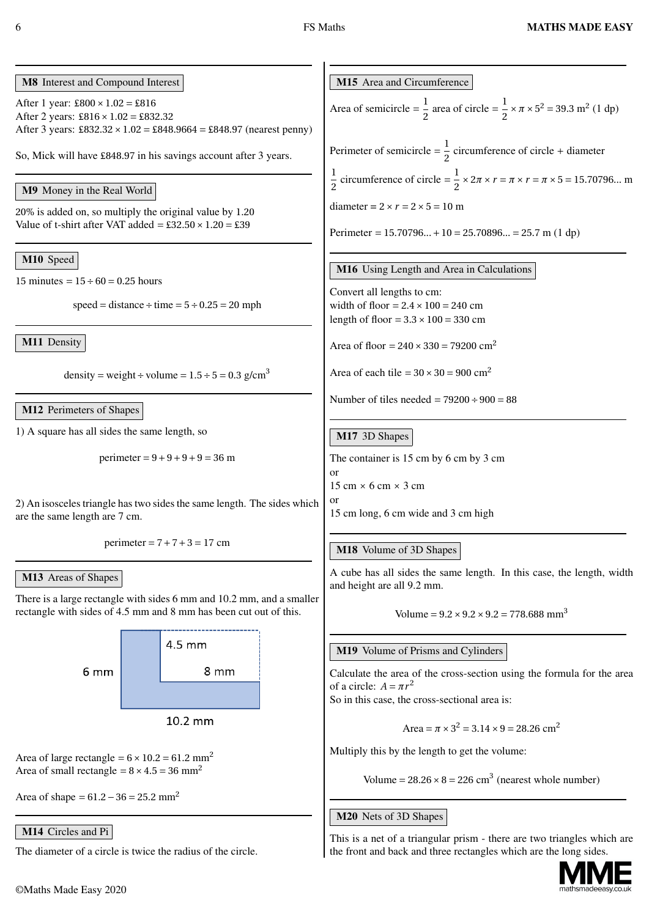# M8 Interest and Compound Interest

After 1 year: £800*×*1.02 *=* £816 After 2 years: £816*×*1.02 *=* £832.32 After 3 years: £832.32*×*1.02 *=* £848.9664 *=* £848.97 (nearest penny)

So, Mick will have £848.97 in his savings account after 3 years.

# M9 Money in the Real World

20% is added on, so multiply the original value by 1.20 Value of t-shirt after VAT added  $=$  £32.50  $\times$  1.20  $=$  £39

# M10 Speed

15 minutes  $= 15 \div 60 = 0.25$  hours

 $speed = distance \div time = 5 \div 0.25 = 20$  mph

M11 Density

density = weight ÷ volume =  $1.5 \div 5 = 0.3$  g/cm<sup>3</sup>

#### M12 Perimeters of Shapes

1) A square has all sides the same length, so

perimeter *=* 9*+*9*+*9*+*9 *=* 36 m

2) An isosceles triangle has two sides the same length. The sides which are the same length are 7 cm.

perimeter *=* 7*+*7*+*3 *=* 17 cm

### M13 Areas of Shapes

There is a large rectangle with sides 6 mm and 10.2 mm, and a smaller rectangle with sides of 4.5 mm and 8 mm has been cut out of this.



Area of large rectangle  $= 6 \times 10.2 = 61.2$  mm<sup>2</sup> Area of small rectangle  $= 8 \times 4.5 = 36$  mm<sup>2</sup>

Area of shape *<sup>=</sup>* 61.2*−*<sup>36</sup> *<sup>=</sup>* 25.2 mm<sup>2</sup>

# M14 Circles and Pi

The diameter of a circle is twice the radius of the circle.

M15 Area and Circumference

Area of semicircle = 
$$
\frac{1}{2}
$$
 area of circle =  $\frac{1}{2} \times \pi \times 5^2 = 39.3$  m<sup>2</sup> (1 dp)

Perimeter of semicircle  $=\frac{1}{2}$  $\frac{1}{2}$  circumference of circle + diameter 1  $\frac{1}{2}$  circumference of circle =  $\frac{1}{2}$  $\frac{1}{2}$  × 2 $\pi$  ×  $r = \pi$  ×  $r = \pi$  × 5 = 15.70796... m diameter =  $2 \times r = 2 \times 5 = 10$  m

Perimeter *=* 15.70796...*+*10 *=* 25.70896... *=* 25.7 m (1 dp)

#### M16 Using Length and Area in Calculations

Convert all lengths to cm: width of floor  $= 2.4 \times 100 = 240$  cm length of floor  $= 3.3 \times 100 = 330$  cm

Area of floor =  $240 \times 330 = 79200$  cm<sup>2</sup>

Area of each tile  $= 30 \times 30 = 900$  cm<sup>2</sup>

Number of tiles needed *=* 79200*÷*900 *=* 88

# M17 3D Shapes

The container is 15 cm by 6 cm by 3 cm or

15 cm *×* 6 cm *×* 3 cm

or

15 cm long, 6 cm wide and 3 cm high

### M18 Volume of 3D Shapes

A cube has all sides the same length. In this case, the length, width and height are all 9.2 mm.

Volume =  $9.2 \times 9.2 \times 9.2 = 778.688$  mm<sup>3</sup>

### M19 Volume of Prisms and Cylinders

Calculate the area of the cross-section using the formula for the area of a circle:  $A = \pi r^2$ 

So in this case, the cross-sectional area is:

Area =  $\pi \times 3^2 = 3.14 \times 9 = 28.26$  cm<sup>2</sup>

Multiply this by the length to get the volume:

Volume =  $28.26 \times 8 = 226$  cm<sup>3</sup> (nearest whole number)

### M20 Nets of 3D Shapes

This is a net of a triangular prism - there are two triangles which are the front and back and three rectangles which are the long sides.

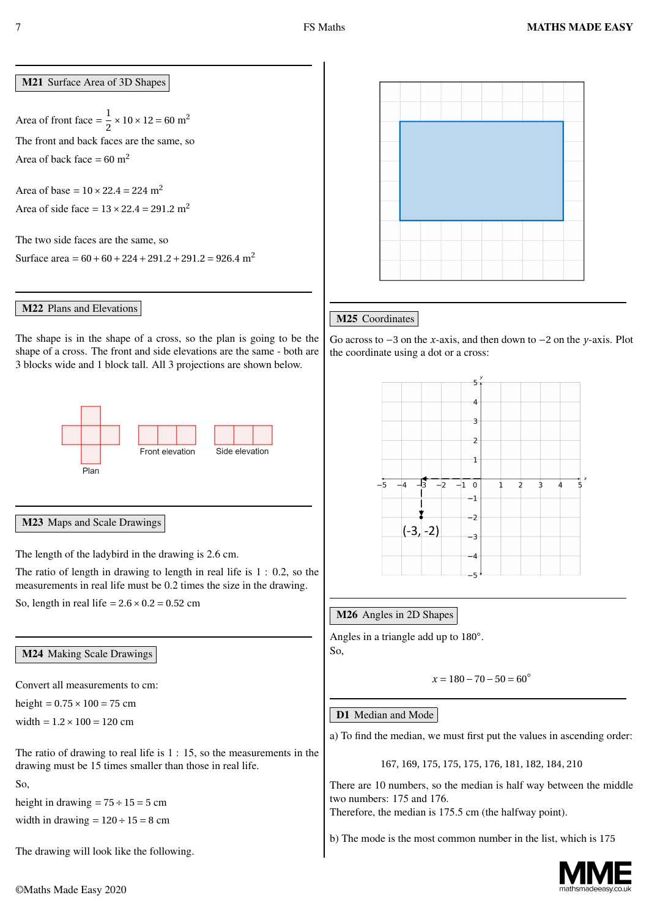M21 Surface Area of 3D Shapes

Area of front face  $=\frac{1}{2}$  $\frac{1}{2}$  × 10 × 12 = 60 m<sup>2</sup> The front and back faces are the same, so Area of back face  $= 60$  m<sup>2</sup>

Area of base =  $10 \times 22.4 = 224$  m<sup>2</sup> Area of side face  $= 13 \times 22.4 = 291.2$  m<sup>2</sup>

The two side faces are the same, so

Surface area *<sup>=</sup>* <sup>60</sup>*+*60*+*224*+*291.2*+*291.2 *<sup>=</sup>* 926.4 m<sup>2</sup>

#### M22 Plans and Elevations

The shape is in the shape of a cross, so the plan is going to be the shape of a cross. The front and side elevations are the same - both are 3 blocks wide and 1 block tall. All 3 projections are shown below.



#### M23 Maps and Scale Drawings

The length of the ladybird in the drawing is 2.6 cm.

The ratio of length in drawing to length in real life is 1 : 0.2, so the measurements in real life must be 0.2 times the size in the drawing.

So, length in real life  $= 2.6 \times 0.2 = 0.52$  cm

#### M24 Making Scale Drawings

Convert all measurements to cm:

height  $= 0.75 \times 100 = 75$  cm

width *=* 1.2*×*100 *=* 120 cm

The ratio of drawing to real life is 1 : 15, so the measurements in the drawing must be 15 times smaller than those in real life.

So,

height in drawing  $= 75 \div 15 = 5$  cm width in drawing  $= 120 \div 15 = 8$  cm

The drawing will look like the following.



# M25 Coordinates

Go across to *−*3 on the *x*-axis, and then down to *−*2 on the *y*-axis. Plot the coordinate using a dot or a cross:



### M26 Angles in 2D Shapes

Angles in a triangle add up to 180*◦* . So,

$$
x = 180 - 70 - 50 = 60^{\circ}
$$

### D1 Median and Mode

a) To find the median, we must first put the values in ascending order:

#### 167, 169, 175, 175, 175, 176, 181, 182, 184, 210

There are 10 numbers, so the median is half way between the middle two numbers: 175 and 176.

Therefore, the median is 175.5 cm (the halfway point).

b) The mode is the most common number in the list, which is 175

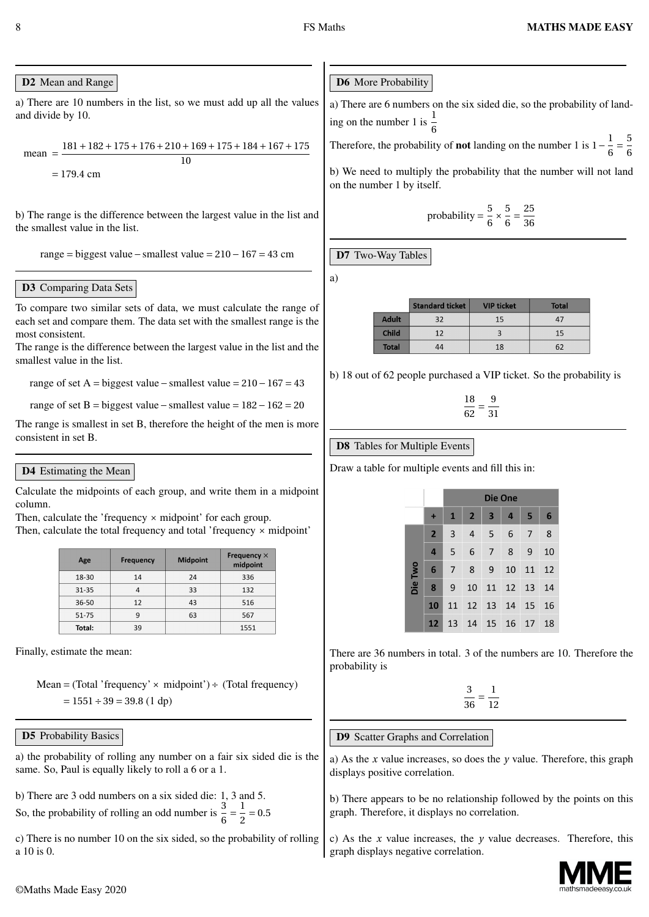### D<sub>2</sub> Mean and Range

a) There are 10 numbers in the list, so we must add up all the values and divide by 10.

mean = 
$$
\frac{181 + 182 + 175 + 176 + 210 + 169 + 175 + 184 + 167 + 175}{10}
$$
  
= 179.4 cm

b) The range is the difference between the largest value in the list and the smallest value in the list.

range *=* biggest value*−*smallest value *=* 210*−*167 *=* 43 cm

## D3 Comparing Data Sets

To compare two similar sets of data, we must calculate the range of each set and compare them. The data set with the smallest range is the most consistent.

The range is the difference between the largest value in the list and the smallest value in the list.

range of set A *=* biggest value*−*smallest value *=* 210*−*167 *=* 43

range of set B *=* biggest value*−*smallest value *=* 182*−*162 *=* 20

The range is smallest in set B, therefore the height of the men is more consistent in set B.

# D4 Estimating the Mean

Calculate the midpoints of each group, and write them in a midpoint column.

Then, calculate the 'frequency *×* midpoint' for each group.

Then, calculate the total frequency and total 'frequency *×* midpoint'

| Age       | Frequency | <b>Midpoint</b> | Frequency $\times$<br>midpoint |  |
|-----------|-----------|-----------------|--------------------------------|--|
| 18-30     | 14        | 24              | 336                            |  |
| $31 - 35$ | 33<br>4   |                 | 132                            |  |
| 36-50     | 12<br>43  |                 | 516                            |  |
| 51-75     | 9         | 63              | 567                            |  |
| Total:    | 39        |                 | 1551                           |  |

Finally, estimate the mean:

Mean *=* (Total 'frequency'*×* midpoint')*÷* (Total frequency) *=* 1551*÷*39 *=* 39.8 (1 dp)

### D5 Probability Basics

a) the probability of rolling any number on a fair six sided die is the same. So, Paul is equally likely to roll a 6 or a 1.

b) There are 3 odd numbers on a six sided die: 1, 3 and 5. 1

So, the probability of rolling an odd number is  $\frac{3}{6}$  =  $\frac{2}{2} = 0.5$ 

c) There is no number 10 on the six sided, so the probability of rolling a 10 is 0.

a) There are 6 numbers on the six sided die, so the probability of landing on the number 1 is  $\frac{1}{6}$ 

Therefore, the probability of **not** landing on the number 1 is  $1 - \frac{1}{6}$ 6 *=* 5 6

b) We need to multiply the probability that the number will not land on the number 1 by itself.

probability 
$$
=
$$
  $\frac{5}{6} \times \frac{5}{6} = \frac{25}{36}$ 

D7 Two-Way Tables

a)

|              | <b>Standard ticket</b> | <b>VIP ticket</b> | <b>Total</b> |
|--------------|------------------------|-------------------|--------------|
| <b>Adult</b> | 32                     | 15                | 47           |
| <b>Child</b> | 12                     |                   | 15           |
| Total        | 44                     | 18                | 62           |

b) 18 out of 62 people purchased a VIP ticket. So the probability is

18  $\frac{1}{62}$ 9 31

### D8 Tables for Multiple Events

Draw a table for multiple events and fill this in:

|         |                | Die One        |                |                         |                    |          |    |
|---------|----------------|----------------|----------------|-------------------------|--------------------|----------|----|
|         | ٠              | $\mathbf{1}$   | $\overline{2}$ | $\overline{\mathbf{3}}$ | $\overline{4}$     | 5        | 6  |
|         | $\overline{2}$ | $\overline{3}$ | 4              | $5^{\circ}$             | 6                  | 7        | 8  |
|         | $\overline{a}$ | 5              | 6              | $\overline{7}$          | 8                  | 9        | 10 |
|         | 6              | $\overline{7}$ | 8 <sup>1</sup> | - 9                     |                    | 10 11 12 |    |
| Die Two | 8              | 9              | 10             |                         | 11 12 13 14        |          |    |
|         | 10             | 11             |                |                         | 12  13  14  15  16 |          |    |
|         | 12             | 13             |                |                         | 14  15  16  17  18 |          |    |

There are 36 numbers in total. 3 of the numbers are 10. Therefore the probability is

> 3 36 *=* 1 12

# D9 Scatter Graphs and Correlation

a) As the *x* value increases, so does the *y* value. Therefore, this graph displays positive correlation.

b) There appears to be no relationship followed by the points on this graph. Therefore, it displays no correlation.

c) As the *x* value increases, the *y* value decreases. Therefore, this graph displays negative correlation.